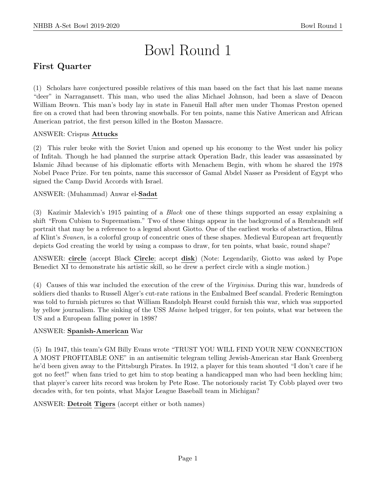# Bowl Round 1

# First Quarter

(1) Scholars have conjectured possible relatives of this man based on the fact that his last name means "deer" in Narragansett. This man, who used the alias Michael Johnson, had been a slave of Deacon William Brown. This man's body lay in state in Faneuil Hall after men under Thomas Preston opened fire on a crowd that had been throwing snowballs. For ten points, name this Native American and African American patriot, the first person killed in the Boston Massacre.

# ANSWER: Crispus Attucks

(2) This ruler broke with the Soviet Union and opened up his economy to the West under his policy of Infitah. Though he had planned the surprise attack Operation Badr, this leader was assassinated by Islamic Jihad because of his diplomatic efforts with Menachem Begin, with whom he shared the 1978 Nobel Peace Prize. For ten points, name this successor of Gamal Abdel Nasser as President of Egypt who signed the Camp David Accords with Israel.

# ANSWER: (Muhammad) Anwar el-Sadat

(3) Kazimir Malevich's 1915 painting of a Black one of these things supported an essay explaining a shift "From Cubism to Suprematism." Two of these things appear in the background of a Rembrandt self portrait that may be a reference to a legend about Giotto. One of the earliest works of abstraction, Hilma af Klint's Svanen, is a colorful group of concentric ones of these shapes. Medieval European art frequently depicts God creating the world by using a compass to draw, for ten points, what basic, round shape?

ANSWER: circle (accept Black Circle; accept disk) (Note: Legendarily, Giotto was asked by Pope Benedict XI to demonstrate his artistic skill, so he drew a perfect circle with a single motion.)

(4) Causes of this war included the execution of the crew of the Virginius. During this war, hundreds of soldiers died thanks to Russell Alger's cut-rate rations in the Embalmed Beef scandal. Frederic Remington was told to furnish pictures so that William Randolph Hearst could furnish this war, which was supported by yellow journalism. The sinking of the USS Maine helped trigger, for ten points, what war between the US and a European falling power in 1898?

# ANSWER: Spanish-American War

(5) In 1947, this team's GM Billy Evans wrote "TRUST YOU WILL FIND YOUR NEW CONNECTION A MOST PROFITABLE ONE" in an antisemitic telegram telling Jewish-American star Hank Greenberg he'd been given away to the Pittsburgh Pirates. In 1912, a player for this team shouted "I don't care if he got no feet!" when fans tried to get him to stop beating a handicapped man who had been heckling him; that player's career hits record was broken by Pete Rose. The notoriously racist Ty Cobb played over two decades with, for ten points, what Major League Baseball team in Michigan?

ANSWER: Detroit Tigers (accept either or both names)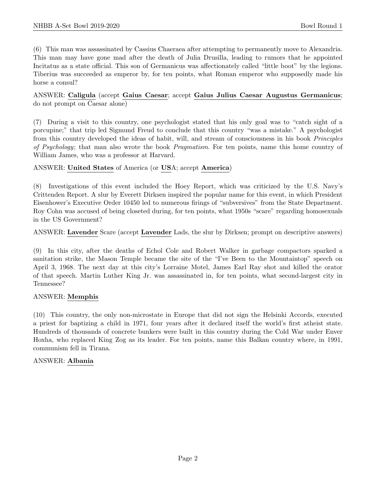(6) This man was assassinated by Cassius Chaeraea after attempting to permanently move to Alexandria. This man may have gone mad after the death of Julia Drusilla, leading to rumors that he appointed Incitatus as a state official. This son of Germanicus was affectionately called "little boot" by the legions. Tiberius was succeeded as emperor by, for ten points, what Roman emperor who supposedly made his horse a consul?

ANSWER: Caligula (accept Gaius Caesar; accept Gaius Julius Caesar Augustus Germanicus; do not prompt on Caesar alone)

(7) During a visit to this country, one psychologist stated that his only goal was to "catch sight of a porcupine;" that trip led Sigmund Freud to conclude that this country "was a mistake." A psychologist from this country developed the ideas of habit, will, and stream of consciousness in his book Principles of Psychology; that man also wrote the book *Pragmatism*. For ten points, name this home country of William James, who was a professor at Harvard.

# ANSWER: United States of America (or USA; accept America)

(8) Investigations of this event included the Hoey Report, which was criticized by the U.S. Navy's Crittenden Report. A slur by Everett Dirksen inspired the popular name for this event, in which President Eisenhower's Executive Order 10450 led to numerous firings of "subversives" from the State Department. Roy Cohn was accused of being closeted during, for ten points, what 1950s "scare" regarding homosexuals in the US Government?

ANSWER: Lavender Scare (accept Lavender Lads, the slur by Dirksen; prompt on descriptive answers)

(9) In this city, after the deaths of Echol Cole and Robert Walker in garbage compactors sparked a sanitation strike, the Mason Temple became the site of the "I've Been to the Mountaintop" speech on April 3, 1968. The next day at this city's Lorraine Motel, James Earl Ray shot and killed the orator of that speech. Martin Luther King Jr. was assassinated in, for ten points, what second-largest city in Tennessee?

# ANSWER: Memphis

(10) This country, the only non-microstate in Europe that did not sign the Helsinki Accords, executed a priest for baptizing a child in 1971, four years after it declared itself the world's first atheist state. Hundreds of thousands of concrete bunkers were built in this country during the Cold War under Enver Hoxha, who replaced King Zog as its leader. For ten points, name this Balkan country where, in 1991, communism fell in Tirana.

# ANSWER: Albania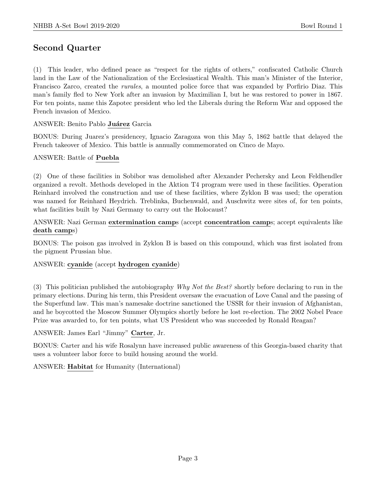# Second Quarter

(1) This leader, who defined peace as "respect for the rights of others," confiscated Catholic Church land in the Law of the Nationalization of the Ecclesiastical Wealth. This man's Minister of the Interior, Francisco Zarco, created the rurales, a mounted police force that was expanded by Porfirio Diaz. This man's family fled to New York after an invasion by Maximilian I, but he was restored to power in 1867. For ten points, name this Zapotec president who led the Liberals during the Reform War and opposed the French invasion of Mexico.

# ANSWER: Benito Pablo Juárez Garcia

BONUS: During Juarez's presidencey, Ignacio Zaragoza won this May 5, 1862 battle that delayed the French takeover of Mexico. This battle is annually commemorated on Cinco de Mayo.

#### ANSWER: Battle of Puebla

(2) One of these facilities in Sobibor was demolished after Alexander Pechersky and Leon Feldhendler organized a revolt. Methods developed in the Aktion T4 program were used in these facilities. Operation Reinhard involved the construction and use of these facilities, where Zyklon B was used; the operation was named for Reinhard Heydrich. Treblinka, Buchenwald, and Auschwitz were sites of, for ten points, what facilities built by Nazi Germany to carry out the Holocaust?

# ANSWER: Nazi German extermination camps (accept concentration camps; accept equivalents like death camps)

BONUS: The poison gas involved in Zyklon B is based on this compound, which was first isolated from the pigment Prussian blue.

#### ANSWER: cyanide (accept hydrogen cyanide)

(3) This politician published the autobiography Why Not the Best? shortly before declaring to run in the primary elections. During his term, this President oversaw the evacuation of Love Canal and the passing of the Superfund law. This man's namesake doctrine sanctioned the USSR for their invasion of Afghanistan, and he boycotted the Moscow Summer Olympics shortly before he lost re-election. The 2002 Nobel Peace Prize was awarded to, for ten points, what US President who was succeeded by Ronald Reagan?

#### ANSWER: James Earl "Jimmy" Carter, Jr.

BONUS: Carter and his wife Rosalynn have increased public awareness of this Georgia-based charity that uses a volunteer labor force to build housing around the world.

ANSWER: Habitat for Humanity (International)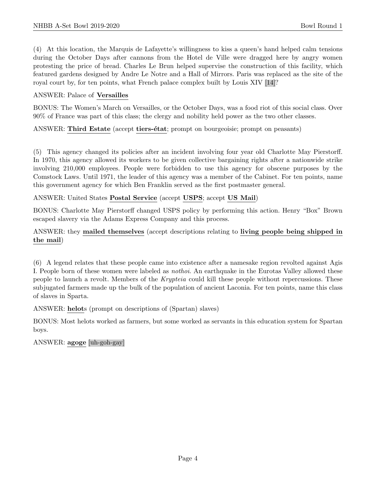(4) At this location, the Marquis de Lafayette's willingness to kiss a queen's hand helped calm tensions during the October Days after cannons from the Hotel de Ville were dragged here by angry women protesting the price of bread. Charles Le Brun helped supervise the construction of this facility, which featured gardens designed by Andre Le Notre and a Hall of Mirrors. Paris was replaced as the site of the royal court by, for ten points, what French palace complex built by Louis XIV [14]?

## ANSWER: Palace of Versailles

BONUS: The Women's March on Versailles, or the October Days, was a food riot of this social class. Over 90% of France was part of this class; the clergy and nobility held power as the two other classes.

#### ANSWER: Third Estate (accept tiers-état; prompt on bourgeoisie; prompt on peasants)

(5) This agency changed its policies after an incident involving four year old Charlotte May Pierstorff. In 1970, this agency allowed its workers to be given collective bargaining rights after a nationwide strike involving 210,000 employees. People were forbidden to use this agency for obscene purposes by the Comstock Laws. Until 1971, the leader of this agency was a member of the Cabinet. For ten points, name this government agency for which Ben Franklin served as the first postmaster general.

#### ANSWER: United States Postal Service (accept USPS; accept US Mail)

BONUS: Charlotte May Pierstorff changed USPS policy by performing this action. Henry "Box" Brown escaped slavery via the Adams Express Company and this process.

# ANSWER: they mailed themselves (accept descriptions relating to living people being shipped in the mail)

(6) A legend relates that these people came into existence after a namesake region revolted against Agis I. People born of these women were labeled as nothoi. An earthquake in the Eurotas Valley allowed these people to launch a revolt. Members of the *Krypteia* could kill these people without repercussions. These subjugated farmers made up the bulk of the population of ancient Laconia. For ten points, name this class of slaves in Sparta.

#### ANSWER: helots (prompt on descriptions of (Spartan) slaves)

BONUS: Most helots worked as farmers, but some worked as servants in this education system for Spartan boys.

#### ANSWER: agoge [uh-goh-gay]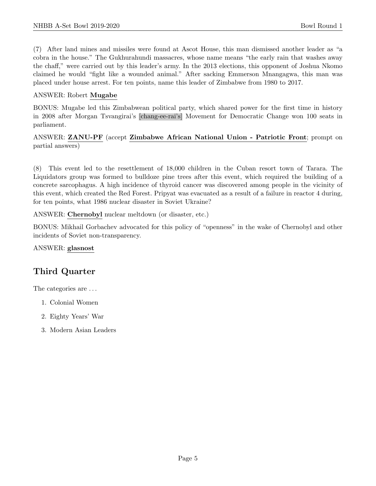(7) After land mines and missiles were found at Ascot House, this man dismissed another leader as "a cobra in the house." The Gukhurahundi massacres, whose name means "the early rain that washes away the chaff," were carried out by this leader's army. In the 2013 elections, this opponent of Joshua Nkomo claimed he would "fight like a wounded animal." After sacking Emmerson Mnangagwa, this man was placed under house arrest. For ten points, name this leader of Zimbabwe from 1980 to 2017.

## ANSWER: Robert Mugabe

BONUS: Mugabe led this Zimbabwean political party, which shared power for the first time in history in 2008 after Morgan Tsvangirai's [chang-ee-rai's] Movement for Democratic Change won 100 seats in parliament.

ANSWER: ZANU-PF (accept Zimbabwe African National Union - Patriotic Front; prompt on partial answers)

(8) This event led to the resettlement of 18,000 children in the Cuban resort town of Tarara. The Liquidators group was formed to bulldoze pine trees after this event, which required the building of a concrete sarcophagus. A high incidence of thyroid cancer was discovered among people in the vicinity of this event, which created the Red Forest. Pripyat was evacuated as a result of a failure in reactor 4 during, for ten points, what 1986 nuclear disaster in Soviet Ukraine?

ANSWER: Chernobyl nuclear meltdown (or disaster, etc.)

BONUS: Mikhail Gorbachev advocated for this policy of "openness" in the wake of Chernobyl and other incidents of Soviet non-transparency.

ANSWER: glasnost

# Third Quarter

The categories are  $\dots$ 

- 1. Colonial Women
- 2. Eighty Years' War
- 3. Modern Asian Leaders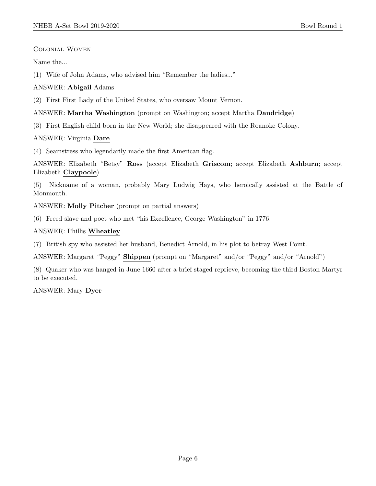Colonial Women

Name the...

(1) Wife of John Adams, who advised him "Remember the ladies..."

ANSWER: Abigail Adams

(2) First First Lady of the United States, who oversaw Mount Vernon.

# ANSWER: Martha Washington (prompt on Washington; accept Martha Dandridge)

(3) First English child born in the New World; she disappeared with the Roanoke Colony.

ANSWER: Virginia Dare

(4) Seamstress who legendarily made the first American flag.

ANSWER: Elizabeth "Betsy" Ross (accept Elizabeth Griscom; accept Elizabeth Ashburn; accept Elizabeth Claypoole)

(5) Nickname of a woman, probably Mary Ludwig Hays, who heroically assisted at the Battle of Monmouth.

ANSWER: Molly Pitcher (prompt on partial answers)

(6) Freed slave and poet who met "his Excellence, George Washington" in 1776.

ANSWER: Phillis Wheatley

(7) British spy who assisted her husband, Benedict Arnold, in his plot to betray West Point.

ANSWER: Margaret "Peggy" Shippen (prompt on "Margaret" and/or "Peggy" and/or "Arnold")

(8) Quaker who was hanged in June 1660 after a brief staged reprieve, becoming the third Boston Martyr to be executed.

ANSWER: Mary Dyer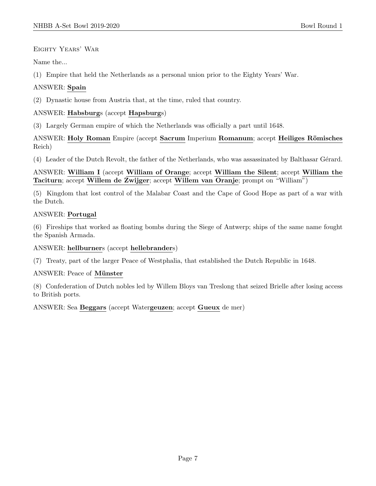Eighty Years' War

Name the...

(1) Empire that held the Netherlands as a personal union prior to the Eighty Years' War.

# ANSWER: Spain

(2) Dynastic house from Austria that, at the time, ruled that country.

# ANSWER: Habsburgs (accept Hapsburgs)

(3) Largely German empire of which the Netherlands was officially a part until 1648.

ANSWER: Holy Roman Empire (accept Sacrum Imperium Romanum; accept Heiliges Römisches Reich)

(4) Leader of the Dutch Revolt, the father of the Netherlands, who was assassinated by Balthasar G´erard.

ANSWER: William I (accept William of Orange; accept William the Silent; accept William the Taciturn; accept Willem de Zwijger; accept Willem van Oranje; prompt on "William")

(5) Kingdom that lost control of the Malabar Coast and the Cape of Good Hope as part of a war with the Dutch.

# ANSWER: Portugal

(6) Fireships that worked as floating bombs during the Siege of Antwerp; ships of the same name fought the Spanish Armada.

# ANSWER: hellburners (accept hellebranders)

(7) Treaty, part of the larger Peace of Westphalia, that established the Dutch Republic in 1648.

ANSWER: Peace of Münster

(8) Confederation of Dutch nobles led by Willem Bloys van Treslong that seized Brielle after losing access to British ports.

ANSWER: Sea Beggars (accept Watergeuzen; accept Gueux de mer)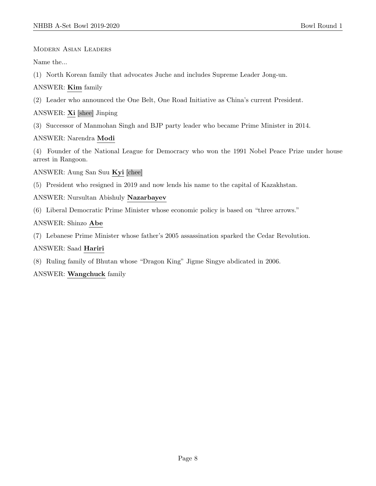Modern Asian Leaders

Name the...

(1) North Korean family that advocates Juche and includes Supreme Leader Jong-un.

ANSWER: Kim family

(2) Leader who announced the One Belt, One Road Initiative as China's current President.

ANSWER: Xi [shee] Jinping

(3) Successor of Manmohan Singh and BJP party leader who became Prime Minister in 2014.

ANSWER: Narendra Modi

(4) Founder of the National League for Democracy who won the 1991 Nobel Peace Prize under house arrest in Rangoon.

ANSWER: Aung San Suu Kyi [chee]

(5) President who resigned in 2019 and now lends his name to the capital of Kazakhstan.

ANSWER: Nursultan Abishuly Nazarbayev

(6) Liberal Democratic Prime Minister whose economic policy is based on "three arrows."

# ANSWER: Shinzo Abe

(7) Lebanese Prime Minister whose father's 2005 assassination sparked the Cedar Revolution.

ANSWER: Saad Hariri

(8) Ruling family of Bhutan whose "Dragon King" Jigme Singye abdicated in 2006.

ANSWER: Wangchuck family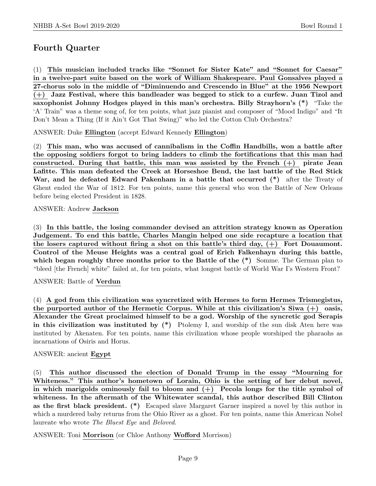# Fourth Quarter

(1) This musician included tracks like "Sonnet for Sister Kate" and "Sonnet for Caesar" in a twelve-part suite based on the work of William Shakespeare. Paul Gonsalves played a 27-chorus solo in the middle of "Diminuendo and Crescendo in Blue" at the 1956 Newport (+) Jazz Festival, where this bandleader was begged to stick to a curfew. Juan Tizol and saxophonist Johnny Hodges played in this man's orchestra. Billy Strayhorn's (\*) "Take the 'A' Train" was a theme song of, for ten points, what jazz pianist and composer of "Mood Indigo" and "It Don't Mean a Thing (If it Ain't Got That Swing)" who led the Cotton Club Orchestra?

ANSWER: Duke Ellington (accept Edward Kennedy Ellington)

(2) This man, who was accused of cannibalism in the Coffin Handbills, won a battle after the opposing soldiers forgot to bring ladders to climb the fortifications that this man had constructed. During that battle, this man was assisted by the French (+) pirate Jean Lafitte. This man defeated the Creek at Horseshoe Bend, the last battle of the Red Stick War, and he defeated Edward Pakenham in a battle that occurred (\*) after the Treaty of Ghent ended the War of 1812. For ten points, name this general who won the Battle of New Orleans before being elected President in 1828.

# ANSWER: Andrew Jackson

(3) In this battle, the losing commander devised an attrition strategy known as Operation Judgement. To end this battle, Charles Mangin helped one side recapture a location that the losers captured without firing a shot on this battle's third day,  $(+)$  Fort Douaumont. Control of the Meuse Heights was a central goal of Erich Falkenhayn during this battle, which began roughly three months prior to the Battle of the  $(*)$  Somme. The German plan to "bleed [the French] white" failed at, for ten points, what longest battle of World War I's Western Front?

ANSWER: Battle of Verdun

(4) A god from this civilization was syncretized with Hermes to form Hermes Trismegistus, the purported author of the Hermetic Corpus. While at this civilization's Siwa  $(+)$  oasis, Alexander the Great proclaimed himself to be a god. Worship of the syncretic god Serapis in this civilization was instituted by  $(*)$  Ptolemy I, and worship of the sun disk Aten here was instituted by Akenaten. For ten points, name this civilization whose people worshiped the pharaohs as incarnations of Osiris and Horus.

# ANSWER: ancient Egypt

(5) This author discussed the election of Donald Trump in the essay "Mourning for Whiteness." This author's hometown of Lorain, Ohio is the setting of her debut novel, in which marigolds ominously fail to bloom and  $(+)$  Pecola longs for the title symbol of whiteness. In the aftermath of the Whitewater scandal, this author described Bill Clinton as the first black president. (\*) Escaped slave Margaret Garner inspired a novel by this author in which a murdered baby returns from the Ohio River as a ghost. For ten points, name this American Nobel laureate who wrote The Bluest Eye and Beloved.

ANSWER: Toni Morrison (or Chloe Anthony Wofford Morrison)